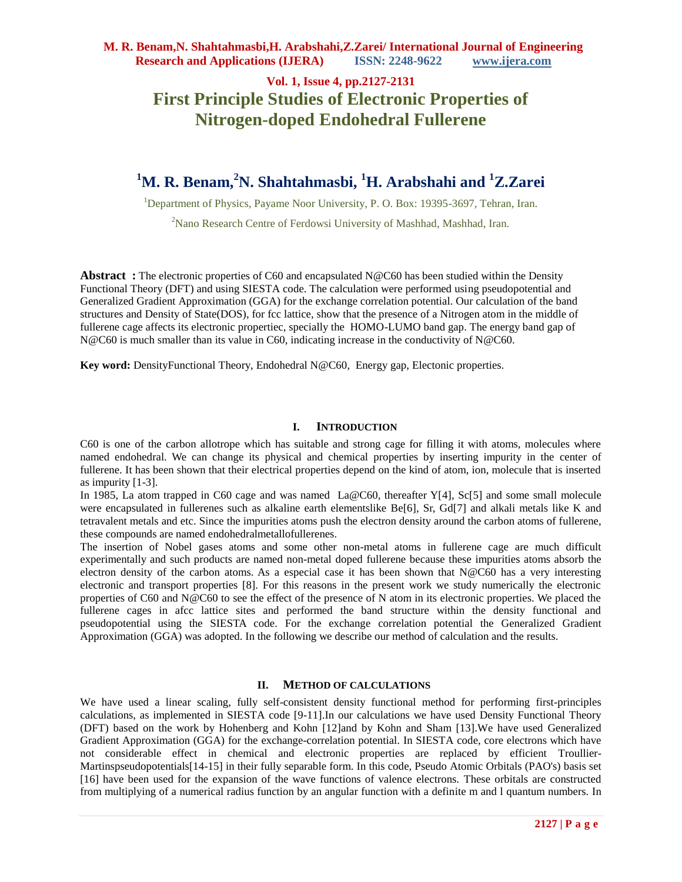# **Vol. 1, Issue 4, pp.2127-2131 First Principle Studies of Electronic Properties of Nitrogen-doped Endohedral Fullerene**

# **<sup>1</sup>M. R. Benam,<sup>2</sup>N. Shahtahmasbi, <sup>1</sup>H. Arabshahi and <sup>1</sup>Z.Zarei**

<sup>1</sup>Department of Physics, Payame Noor University, P. O. Box: 19395-3697, Tehran, Iran. <sup>2</sup>Nano Research Centre of Ferdowsi University of Mashhad, Mashhad, Iran.

**Abstract :** The electronic properties of C60 and encapsulated N@C60 has been studied within the Density Functional Theory (DFT) and using SIESTA code. The calculation were performed using pseudopotential and Generalized Gradient Approximation (GGA) for the exchange correlation potential. Our calculation of the band structures and Density of State(DOS), for fcc lattice, show that the presence of a Nitrogen atom in the middle of fullerene cage affects its electronic propertiec, specially the HOMO-LUMO band gap. The energy band gap of N@C60 is much smaller than its value in C60, indicating increase in the conductivity of N@C60.

**Key word:** DensityFunctional Theory, Endohedral N@C60, Energy gap, Electonic properties.

#### **I. INTRODUCTION**

C60 is one of the carbon allotrope which has suitable and strong cage for filling it with atoms, molecules where named endohedral. We can change its physical and chemical properties by inserting impurity in the center of fullerene. It has been shown that their electrical properties depend on the kind of atom, ion, molecule that is inserted as impurity [1-3].

In 1985, La atom trapped in C60 cage and was named La@C60, thereafter Y[4], Sc[5] and some small molecule were encapsulated in fullerenes such as alkaline earth elementslike Be[6], Sr, Gd[7] and alkali metals like K and tetravalent metals and etc. Since the impurities atoms push the electron density around the carbon atoms of fullerene, these compounds are named endohedralmetallofullerenes.

The insertion of Nobel gases atoms and some other non-metal atoms in fullerene cage are much difficult experimentally and such products are named non-metal doped fullerene because these impurities atoms absorb the electron density of the carbon atoms. As a especial case it has been shown that  $N@C60$  has a very interesting electronic and transport properties [8]. For this reasons in the present work we study numerically the electronic properties of C60 and N@C60 to see the effect of the presence of N atom in its electronic properties. We placed the fullerene cages in afcc lattice sites and performed the band structure within the density functional and pseudopotential using the SIESTA code. For the exchange correlation potential the Generalized Gradient Approximation (GGA) was adopted. In the following we describe our method of calculation and the results.

### **II. METHOD OF CALCULATIONS**

We have used a linear scaling, fully self-consistent density functional method for performing first-principles calculations, as implemented in SIESTA code [9-11].In our calculations we have used Density Functional Theory (DFT) based on the work by Hohenberg and Kohn [12]and by Kohn and Sham [13].We have used Generalized Gradient Approximation (GGA) for the exchange-correlation potential. In SIESTA code, core electrons which have not considerable effect in chemical and electronic properties are replaced by efficient Troullier-Martinspseudopotentials[14-15] in their fully separable form. In this code, Pseudo Atomic Orbitals (PAO's) basis set [16] have been used for the expansion of the wave functions of valence electrons. These orbitals are constructed from multiplying of a numerical radius function by an angular function with a definite m and l quantum numbers. In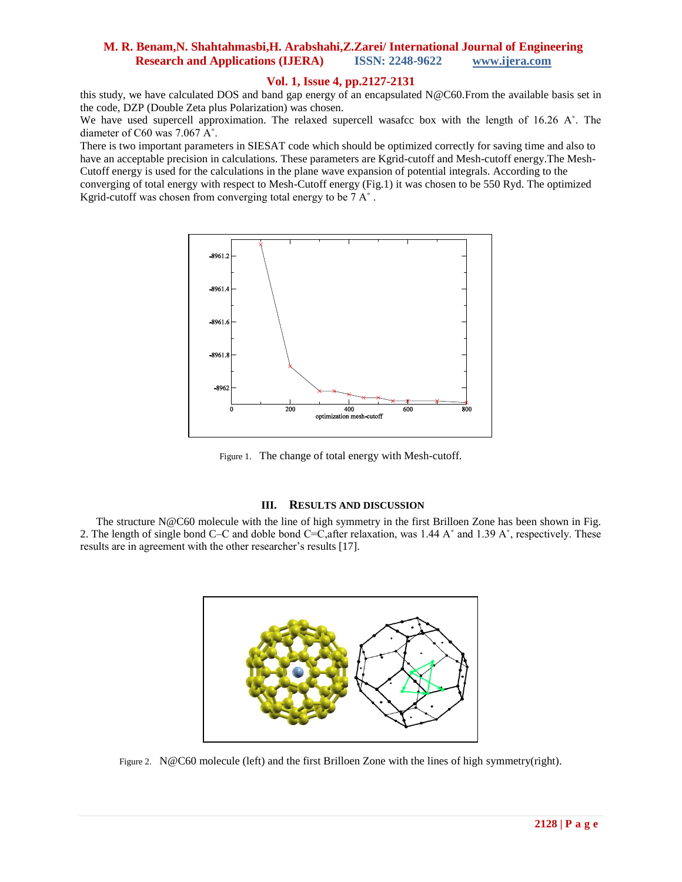## **Vol. 1, Issue 4, pp.2127-2131**

this study, we have calculated DOS and band gap energy of an encapsulated N@C60.From the available basis set in the code, DZP (Double Zeta plus Polarization) was chosen.

We have used supercell approximation. The relaxed supercell wasafce box with the length of 16.26 A°. The diameter of C60 was 7.067 A˚.

There is two important parameters in SIESAT code which should be optimized correctly for saving time and also to have an acceptable precision in calculations. These parameters are Kgrid-cutoff and Mesh-cutoff energy.The Mesh-Cutoff energy is used for the calculations in the plane wave expansion of potential integrals. According to the converging of total energy with respect to Mesh-Cutoff energy (Fig.1) it was chosen to be 550 Ryd. The optimized Kgrid-cutoff was chosen from converging total energy to be 7 A˚ .



Figure 1. The change of total energy with Mesh-cutoff.

### **III. RESULTS AND DISCUSSION**

The structure N@C60 molecule with the line of high symmetry in the first Brilloen Zone has been shown in Fig. 2. The length of single bond C–C and doble bond C=C,after relaxation, was 1.44 A˚ and 1.39 A˚, respectively. These results are in agreement with the other researcher's results [17].



Figure 2. N@C60 molecule (left) and the first Brilloen Zone with the lines of high symmetry(right).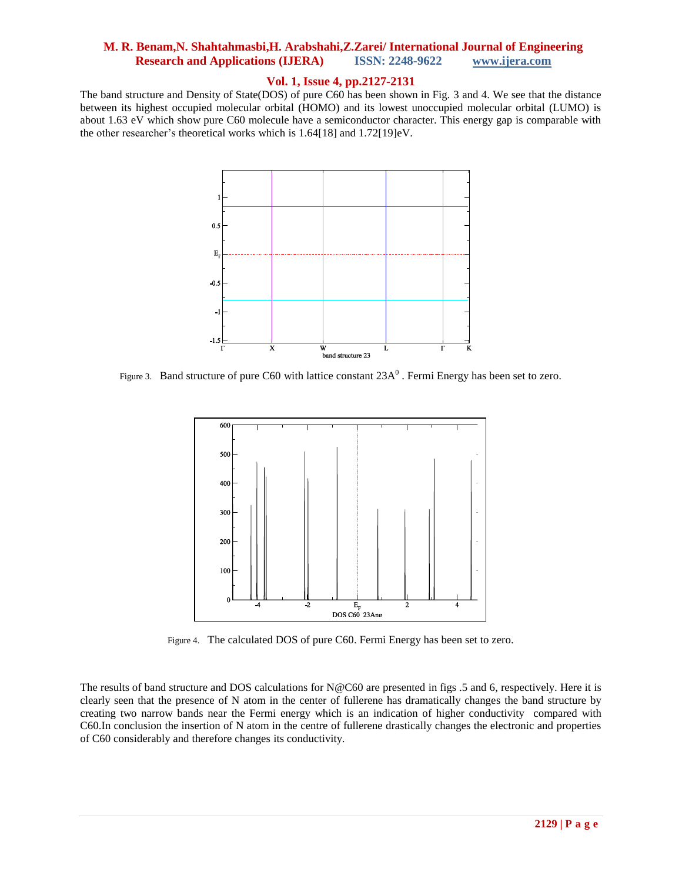## **Vol. 1, Issue 4, pp.2127-2131**

The band structure and Density of State(DOS) of pure C60 has been shown in Fig. 3 and 4. We see that the distance between its highest occupied molecular orbital (HOMO) and its lowest unoccupied molecular orbital (LUMO) is about 1.63 eV which show pure C60 molecule have a semiconductor character. This energy gap is comparable with the other researcher's theoretical works which is 1.64[18] and 1.72[19]eV.



Figure 3. Band structure of pure C60 with lattice constant  $23A<sup>0</sup>$ . Fermi Energy has been set to zero.



Figure 4. The calculated DOS of pure C60. Fermi Energy has been set to zero.

The results of band structure and DOS calculations for N@C60 are presented in figs .5 and 6, respectively. Here it is clearly seen that the presence of N atom in the center of fullerene has dramatically changes the band structure by creating two narrow bands near the Fermi energy which is an indication of higher conductivity compared with C60.In conclusion the insertion of N atom in the centre of fullerene drastically changes the electronic and properties of C60 considerably and therefore changes its conductivity.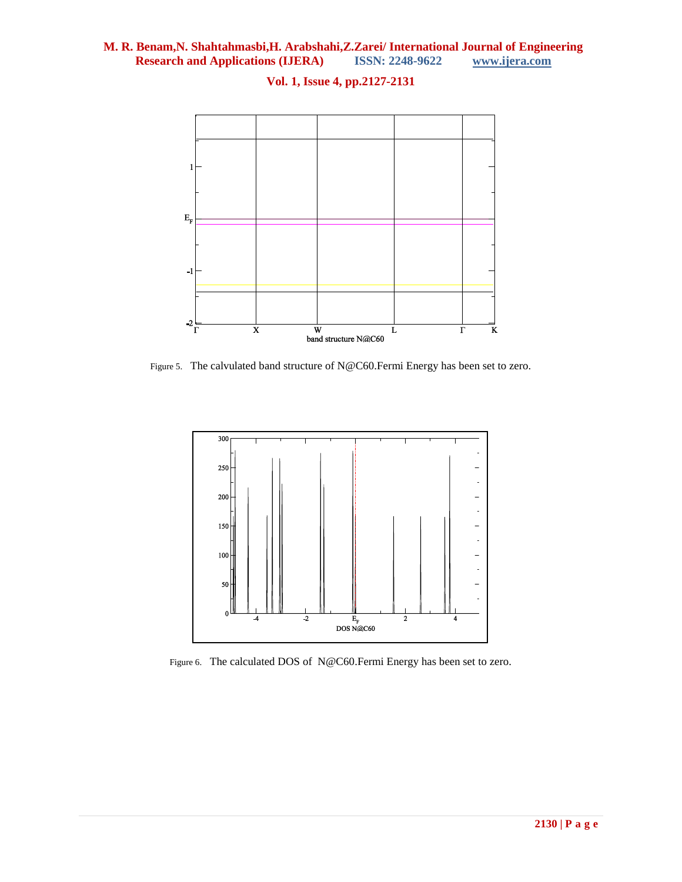

# **Vol. 1, Issue 4, pp.2127-2131**

Figure 5. The calvulated band structure of N@C60.Fermi Energy has been set to zero.



Figure 6. The calculated DOS of N@C60.Fermi Energy has been set to zero.